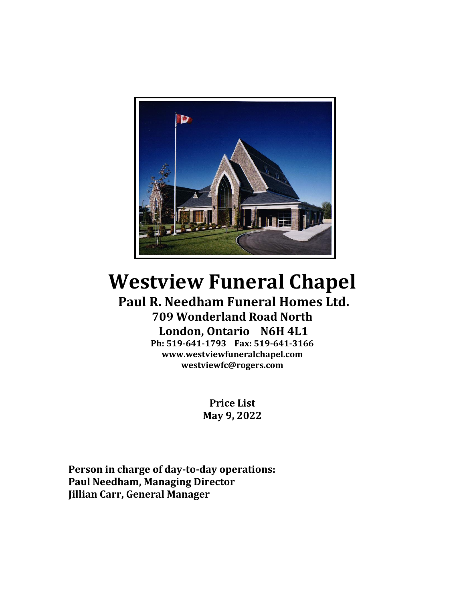

# **Westview Funeral Chapel**

### **Paul R. Needham Funeral Homes Ltd. 709 Wonderland Road North London, Ontario N6H 4L1 Ph: 519-641-1793 Fax: 519-641-3166 www.westviewfuneralchapel.com**

**westviewfc@rogers.com**

**Price List May 9, 2022**

**Person in charge of day-to-day operations: Paul Needham, Managing Director Jillian Carr, General Manager**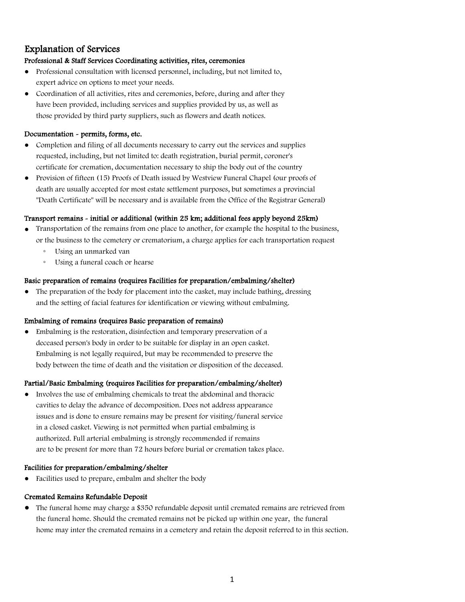### Explanation of Services

#### Professional & Staff Services Coordinating activities, rites, ceremonies

- Professional consultation with licensed personnel, including, but not limited to, expert advice on options to meet your needs.
- Coordination of all activities, rites and ceremonies, before, during and after they have been provided, including services and supplies provided by us, as well as those provided by third party suppliers, such as flowers and death notices.

#### Documentation - permits, forms, etc.

- Completion and filing of all documents necessary to carry out the services and supplies requested, including, but not limited to: death registration, burial permit, coroner's certificate for cremation, documentation necessary to ship the body out of the country
- Provision of fifteen (15) Proofs of Death issued by Westview Funeral Chapel (our proofs of death are usually accepted for most estate settlement purposes, but sometimes a provincial "Death Certificate" will be necessary and is available from the Office of the Registrar General)

#### Transport remains - initial or additional (within 25 km; additional fees apply beyond 25km)

- Transportation of the remains from one place to another, for example the hospital to the business, or the business to the cemetery or crematorium, a charge applies for each transportation request
	- Using an unmarked van
	- Using a funeral coach or hearse

#### Basic preparation of remains (requires Facilities for preparation/embalming/shelter)

• The preparation of the body for placement into the casket, may include bathing, dressing and the setting of facial features for identification or viewing without embalming.

#### Embalming of remains (requires Basic preparation of remains)

● Embalming is the restoration, disinfection and temporary preservation of a deceased person's body in order to be suitable for display in an open casket. Embalming is not legally required, but may be recommended to preserve the body between the time of death and the visitation or disposition of the deceased.

#### Partial/Basic Embalming (requires Facilities for preparation/embalming/shelter)

● Involves the use of embalming chemicals to treat the abdominal and thoracic cavities to delay the advance of decomposition. Does not address appearance issues and is done to ensure remains may be present for visiting/funeral service in a closed casket. Viewing is not permitted when partial embalming is authorized. Full arterial embalming is strongly recommended if remains are to be present for more than 72 hours before burial or cremation takes place.

#### Facilities for preparation/embalming/shelter

● Facilities used to prepare, embalm and shelter the body

#### Cremated Remains Refundable Deposit

• The funeral home may charge a \$350 refundable deposit until cremated remains are retrieved from the funeral home. Should the cremated remains not be picked up within one year, the funeral home may inter the cremated remains in a cemetery and retain the deposit referred to in this section.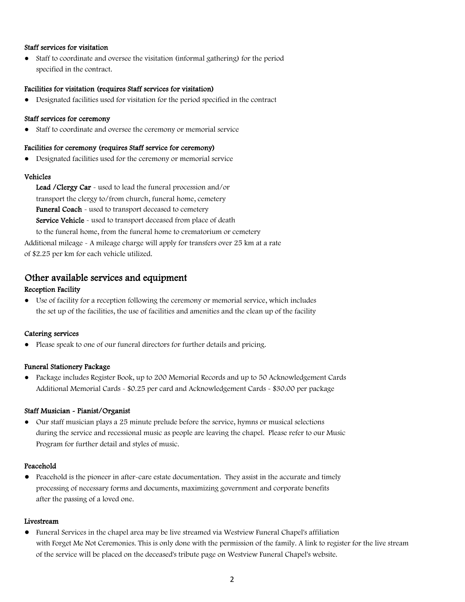#### Staff services for visitation

● Staff to coordinate and oversee the visitation (informal gathering) for the period specified in the contract.

#### Facilities for visitation (requires Staff services for visitation)

● Designated facilities used for visitation for the period specified in the contract

#### Staff services for ceremony

● Staff to coordinate and oversee the ceremony or memorial service

#### Facilities for ceremony (requires Staff service for ceremony)

Designated facilities used for the ceremony or memorial service

#### Vehicles

Lead / Clergy Car - used to lead the funeral procession and/or transport the clergy to/from church, funeral home, cemetery Funeral Coach - used to transport deceased to cemetery Service Vehicle - used to transport deceased from place of death to the funeral home, from the funeral home to crematorium or cemetery Additional mileage - A mileage charge will apply for transfers over 25 km at a rate of \$2.25 per km for each vehicle utilized.

#### Other available services and equipment

#### Reception Facility

● Use of facility for a reception following the ceremony or memorial service, which includes the set up of the facilities, the use of facilities and amenities and the clean up of the facility

#### Catering services

● Please speak to one of our funeral directors for further details and pricing.

#### Funeral Stationery Package

● Package includes Register Book, up to 200 Memorial Records and up to 50 Acknowledgement Cards Additional Memorial Cards - \$0.25 per card and Acknowledgement Cards - \$30.00 per package

#### Staff Musician - Pianist/Organist

● Our staff musician plays a 25 minute prelude before the service, hymns or musical selections during the service and recessional music as people are leaving the chapel. Please refer to our Music Program for further detail and styles of music.

#### Peacehold

• Peacehold is the pioneer in after-care estate documentation. They assist in the accurate and timely processing of necessary forms and documents, maximizing government and corporate benefits after the passing of a loved one.

#### Livestream

● Funeral Services in the chapel area may be live streamed via Westview Funeral Chapel's affiliation with Forget Me Not Ceremonies. This is only done with the permission of the family. A link to register for the live stream of the service will be placed on the deceased's tribute page on Westview Funeral Chapel's website.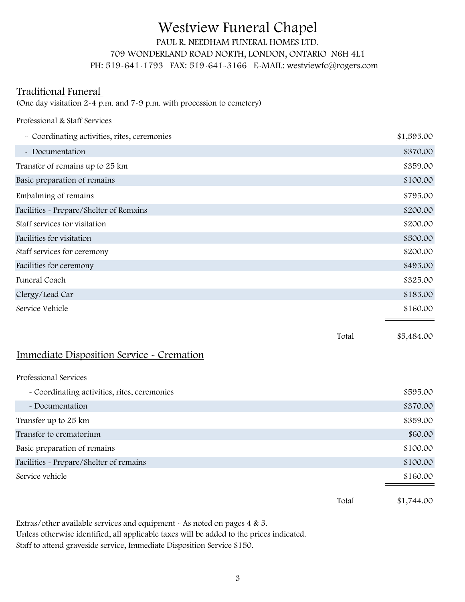## Westview Funeral Chapel

### PAUL R. NEEDHAM FUNERAL HOMES LTD. 709 WONDERLAND ROAD NORTH, LONDON, ONTARIO N6H 4L1 PH: 519-641-1793 FAX: 519-641-3166 E-MAIL: westviewfc@rogers.com

### Traditional Funeral

(One day visitation 2-4 p.m. and 7-9 p.m. with procession to cemetery)

| Professional & Staff Services                |       |            |
|----------------------------------------------|-------|------------|
| - Coordinating activities, rites, ceremonies |       | \$1,595.00 |
| - Documentation                              |       | \$370.00   |
| Transfer of remains up to 25 km              |       | \$359.00   |
| Basic preparation of remains                 |       | \$100.00   |
| Embalming of remains                         |       | \$795.00   |
| Facilities - Prepare/Shelter of Remains      |       | \$200.00   |
| Staff services for visitation                |       | \$200.00   |
| Facilities for visitation                    |       | \$500.00   |
| Staff services for ceremony                  |       | \$200.00   |
| Facilities for ceremony                      |       | \$495.00   |
| Funeral Coach                                |       | \$325.00   |
| Clergy/Lead Car                              |       | \$185.00   |
| Service Vehicle                              |       | \$160.00   |
|                                              | Total | \$5,484.00 |

### Immediate Disposition Service - Cremation

Professional Services

|                                              | Total | \$1,744.00 |
|----------------------------------------------|-------|------------|
| Service vehicle                              |       | \$160.00   |
| Facilities - Prepare/Shelter of remains      |       | \$100.00   |
| Basic preparation of remains                 |       | \$100.00   |
| Transfer to crematorium                      |       | \$60.00    |
| Transfer up to 25 km                         |       | \$359.00   |
| - Documentation                              |       | \$370.00   |
| - Coordinating activities, rites, ceremonies |       | \$595.00   |

Extras/other available services and equipment - As noted on pages 4 & 5. Unless otherwise identified, all applicable taxes will be added to the prices indicated. Staff to attend graveside service, Immediate Disposition Service \$150.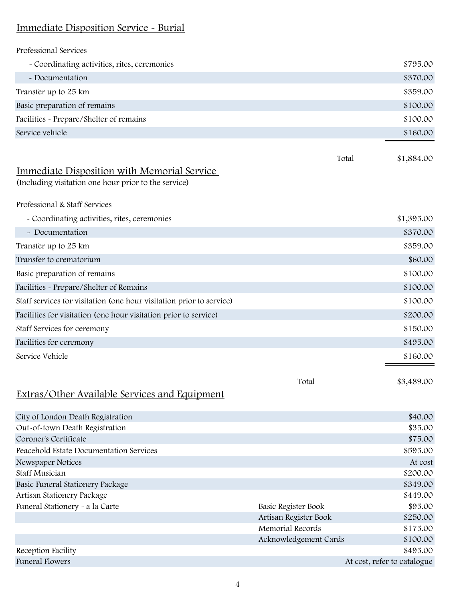### Immediate Disposition Service - Burial

| Professional Services                                                |                       |                             |
|----------------------------------------------------------------------|-----------------------|-----------------------------|
| - Coordinating activities, rites, ceremonies                         |                       | \$795.00                    |
| - Documentation                                                      |                       | \$370.00                    |
| Transfer up to 25 km                                                 |                       | \$359.00                    |
| Basic preparation of remains                                         |                       | \$100.00                    |
| Facilities - Prepare/Shelter of remains                              |                       | \$100.00                    |
| Service vehicle                                                      |                       | \$160.00                    |
|                                                                      |                       |                             |
|                                                                      | Total                 | \$1,884.00                  |
| Immediate Disposition with Memorial Service                          |                       |                             |
| (Including visitation one hour prior to the service)                 |                       |                             |
| Professional & Staff Services                                        |                       |                             |
| - Coordinating activities, rites, ceremonies                         |                       | \$1,395.00                  |
| - Documentation                                                      |                       | \$370.00                    |
| Transfer up to 25 km                                                 |                       | \$359.00                    |
| Transfer to crematorium                                              |                       | \$60.00                     |
| Basic preparation of remains                                         |                       | \$100.00                    |
| Facilities - Prepare/Shelter of Remains                              |                       | \$100.00                    |
| Staff services for visitation (one hour visitation prior to service) |                       | \$100.00                    |
| Facilities for visitation (one hour visitation prior to service)     |                       | \$200.00                    |
| Staff Services for ceremony                                          |                       | \$150.00                    |
| Facilities for ceremony                                              |                       | \$495.00                    |
| Service Vehicle                                                      |                       | \$160.00                    |
|                                                                      |                       |                             |
|                                                                      | Total                 | \$3,489.00                  |
| <b>Extras/Other Available Services and Equipment</b>                 |                       |                             |
|                                                                      |                       |                             |
| City of London Death Registration<br>Out-of-town Death Registration  |                       | \$40.00<br>\$35.00          |
| Coroner's Certificate                                                |                       | \$75.00                     |
| Peacehold Estate Documentation Services                              |                       | \$595.00                    |
| Newspaper Notices                                                    |                       | At cost                     |
| <b>Staff Musician</b>                                                |                       | \$200.00                    |
| Basic Funeral Stationery Package                                     |                       | \$349.00                    |
| Artisan Stationery Package                                           |                       | \$449.00                    |
| Funeral Stationery - a la Carte                                      | Basic Register Book   | \$95.00                     |
|                                                                      | Artisan Register Book | \$250.00                    |
|                                                                      | Memorial Records      | \$175.00                    |
|                                                                      | Acknowledgement Cards | \$100.00                    |
| Reception Facility                                                   |                       | \$495.00                    |
| <b>Funeral Flowers</b>                                               |                       | At cost, refer to catalogue |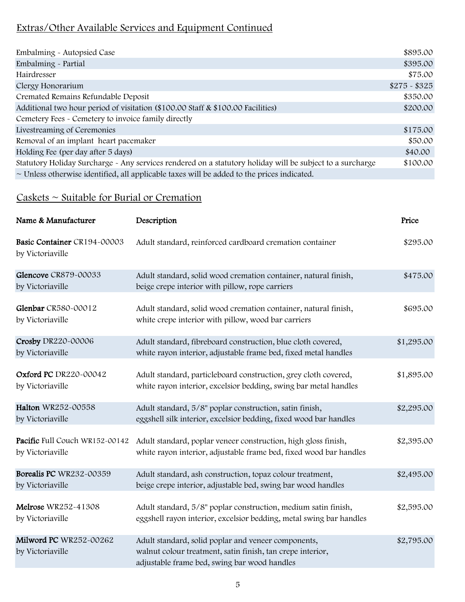### Extras/Other Available Services and Equipment Continued

| Embalming - Autopsied Case                                                                                | \$895.00      |
|-----------------------------------------------------------------------------------------------------------|---------------|
| Embalming - Partial                                                                                       | \$395.00      |
| Hairdresser                                                                                               | \$75.00       |
| Clergy Honorarium                                                                                         | $$275 - $325$ |
| Cremated Remains Refundable Deposit                                                                       | \$350.00      |
| Additional two hour period of visitation (\$100.00 Staff & \$100.00 Facilities)                           |               |
| Cemetery Fees - Cemetery to invoice family directly                                                       |               |
| Livestreaming of Ceremonies                                                                               | \$175.00      |
| Removal of an implant heart pacemaker                                                                     | \$50.00       |
| Holding Fee (per day after 5 days)                                                                        | \$40.00       |
| Statutory Holiday Surcharge - Any services rendered on a statutory holiday will be subject to a surcharge | \$100.00      |
| $\sim$ Unless otherwise identified, all applicable taxes will be added to the prices indicated.           |               |

### $\text{Caskets} \sim \text{Switch}$  for Burial or Cremation

| Name & Manufacturer                                | Description                                                                                                                                                       | Price      |
|----------------------------------------------------|-------------------------------------------------------------------------------------------------------------------------------------------------------------------|------------|
| Basic Container CR194-00003<br>by Victoriaville    | Adult standard, reinforced cardboard cremation container                                                                                                          | \$295.00   |
| Glencove CR879-00033<br>by Victoriaville           | Adult standard, solid wood cremation container, natural finish,<br>beige crepe interior with pillow, rope carriers                                                | \$475.00   |
| Glenbar CR580-00012<br>by Victoriaville            | Adult standard, solid wood cremation container, natural finish,<br>white crepe interior with pillow, wood bar carriers                                            | \$695.00   |
| Crosby DR220-00006<br>by Victoriaville             | Adult standard, fibreboard construction, blue cloth covered,<br>white rayon interior, adjustable frame bed, fixed metal handles                                   | \$1,295.00 |
| <b>Oxford PC</b> DR220-00042<br>by Victoriaville   | Adult standard, particleboard construction, grey cloth covered,<br>white rayon interior, excelsior bedding, swing bar metal handles                               | \$1,895.00 |
| Halton WR252-00558<br>by Victoriaville             | Adult standard, 5/8" poplar construction, satin finish,<br>eggshell silk interior, excelsior bedding, fixed wood bar handles                                      | \$2,295.00 |
| Pacific Full Couch WR152-00142<br>by Victoriaville | Adult standard, poplar veneer construction, high gloss finish,<br>white rayon interior, adjustable frame bed, fixed wood bar handles                              | \$2,395.00 |
| Borealis PC WR232-00359<br>by Victoriaville        | Adult standard, ash construction, topaz colour treatment,<br>beige crepe interior, adjustable bed, swing bar wood handles                                         | \$2,495.00 |
| Melrose WR252-41308<br>by Victoriaville            | Adult standard, 5/8" poplar construction, medium satin finish,<br>eggshell rayon interior, excelsior bedding, metal swing bar handles                             | \$2,595.00 |
| Milword PC WR252-00262<br>by Victoriaville         | Adult standard, solid poplar and veneer components,<br>walnut colour treatment, satin finish, tan crepe interior,<br>adjustable frame bed, swing bar wood handles | \$2,795.00 |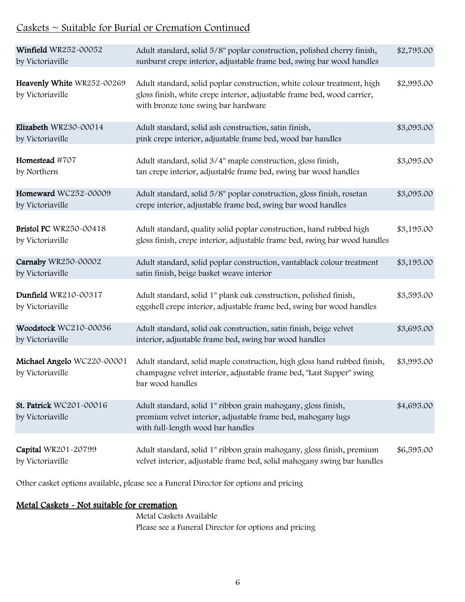### Caskets ~ Suitable for Burial or Cremation Continued

| Winfield WR252-00052<br>by Victoriaville          | Adult standard, solid 5/8" poplar construction, polished cherry finish,<br>sunburst crepe interior, adjustable frame bed, swing bar wood handles                                          | \$2,795.00 |
|---------------------------------------------------|-------------------------------------------------------------------------------------------------------------------------------------------------------------------------------------------|------------|
| Heavenly White WR252-00269<br>by Victoriaville    | Adult standard, solid poplar construction, white colour treatment, high<br>gloss finish, white crepe interior, adjustable frame bed, wood carrier,<br>with bronze tone swing bar hardware | \$2,995.00 |
| Elizabeth WR230-00014<br>by Victoriaville         | Adult standard, solid ash construction, satin finish,<br>pink crepe interior, adjustable frame bed, wood bar handles                                                                      | \$3,095.00 |
| Homestead #707<br>by Northern                     | Adult standard, solid 3/4" maple construction, gloss finish,<br>tan crepe interior, adjustable frame bed, swing bar wood handles                                                          | \$3,095.00 |
| Homeward WC252-00009<br>by Victoriaville          | Adult standard, solid 5/8" poplar construction, gloss finish, rosetan<br>crepe interior, adjustable frame bed, swing bar wood handles                                                     | \$3,095.00 |
| <b>Bristol PC</b> WR250-00418<br>by Victoriaville | Adult standard, quality solid poplar construction, hand rubbed high<br>gloss finish, crepe interior, adjustable frame bed, swing bar wood handles                                         | \$3,195.00 |
| Carnaby WR250-00002<br>by Victoriaville           | Adult standard, solid poplar construction, vantablack colour treatment<br>satin finish, beige basket weave interior                                                                       | \$3,195.00 |
| Dunfield WR210-00317<br>by Victoriaville          | Adult standard, solid 1" plank oak construction, polished finish,<br>eggshell crepe interior, adjustable frame bed, swing bar wood handles                                                | \$3,595.00 |
| Woodstock WC210-00036<br>by Victoriaville         | Adult standard, solid oak construction, satin finish, beige velvet<br>interior, adjustable frame bed, swing bar wood handles                                                              | \$3,695.00 |
| Michael Angelo WC220-00001<br>by Victoriaville    | Adult standard, solid maple construction, high gloss hand rubbed finish,<br>champagne velvet interior, adjustable frame bed, "Last Supper" swing<br>bar wood handles                      | \$3,995.00 |
| St. Patrick WC201-00016<br>by Victoriaville       | Adult standard, solid 1" ribbon grain mahogany, gloss finish,<br>premium velvet interior, adjustable frame bed, mahogany lugs<br>with full-length wood bar handles                        | \$4,695.00 |
| Capital WR201-20799<br>by Victoriaville           | Adult standard, solid 1" ribbon grain mahogany, gloss finish, premium<br>velvet interior, adjustable frame bed, solid mahogany swing bar handles                                          | \$6,595.00 |

Other casket options available, please see a Funeral Director for options and pricing

### Metal Caskets - Not suitable for cremation

Metal Caskets Available Please see a Funeral Director for options and pricing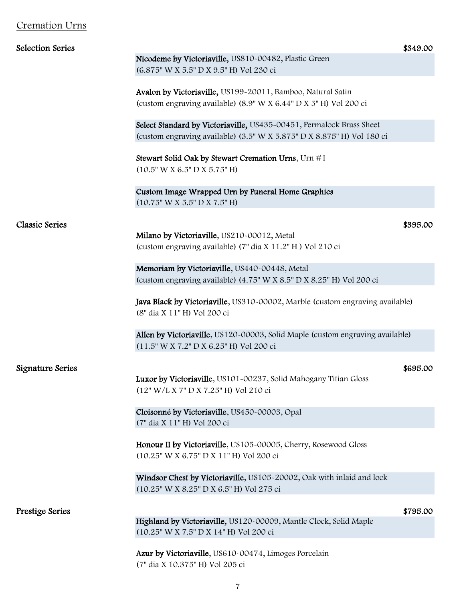### Cremation Urns

| <b>Selection Series</b> | \$349.00                                                                      |
|-------------------------|-------------------------------------------------------------------------------|
|                         | Nicodeme by Victoriaville, US810-00482, Plastic Green                         |
|                         | (6.875" W X 5.5" D X 9.5" H) Vol 230 ci                                       |
|                         |                                                                               |
|                         | Avalon by Victoriaville, US199-20011, Bamboo, Natural Satin                   |
|                         | (custom engraving available) (8.9" W X 6.44" D X 5" H) Vol 200 ci             |
|                         |                                                                               |
|                         | Select Standard by Victoriaville, US435-00451, Permalock Brass Sheet          |
|                         | (custom engraving available) (3.5" W X 5.875" D X 8.875" H) Vol 180 ci        |
|                         |                                                                               |
|                         | Stewart Solid Oak by Stewart Cremation Urns, Urn #1                           |
|                         | $(10.5"$ W X 6.5" D X 5.75" H)                                                |
|                         |                                                                               |
|                         |                                                                               |
|                         | Custom Image Wrapped Urn by Funeral Home Graphics                             |
|                         | (10.75" W X 5.5" D X 7.5" H)                                                  |
| <b>Classic Series</b>   |                                                                               |
|                         | \$395.00<br>Milano by Victoriaville, US210-00012, Metal                       |
|                         |                                                                               |
|                         | (custom engraving available) (7" dia X 11.2" H) Vol 210 ci                    |
|                         |                                                                               |
|                         | Memoriam by Victoriaville, US440-00448, Metal                                 |
|                         | (custom engraving available) (4.75" W X 8.5" D X 8.25" H) Vol 200 ci          |
|                         |                                                                               |
|                         | Java Black by Victoriaville, US310-00002, Marble (custom engraving available) |
|                         | (8" dia X 11" H) Vol 200 ci                                                   |
|                         |                                                                               |
|                         | Allen by Victoriaville, US120-00003, Solid Maple (custom engraving available) |
|                         | (11.5" W X 7.2" D X 6.25" H) Vol 200 ci                                       |
|                         |                                                                               |
| Signature Series        | \$695.00                                                                      |
|                         | Luxor by Victoriaville, US101-00237, Solid Mahogany Titian Gloss              |
|                         | (12" W/L X 7" D X 7.25" H) Vol 210 ci                                         |
|                         |                                                                               |
|                         | Cloisonné by Victoriaville, US450-00003, Opal                                 |
|                         | (7" dia X 11" H) Vol 200 ci                                                   |
|                         |                                                                               |
|                         | Honour II by Victoriaville, US105-00005, Cherry, Rosewood Gloss               |
|                         | (10.25" W X 6.75" D X 11" H) Vol 200 ci                                       |
|                         |                                                                               |
|                         | Windsor Chest by Victoriaville, US105-20002, Oak with inlaid and lock         |
|                         | (10.25" W X 8.25" D X 6.5" H) Vol 275 ci                                      |
|                         |                                                                               |
| Prestige Series         | \$795.00                                                                      |
|                         | Highland by Victoriaville, US120-00009, Mantle Clock, Solid Maple             |
|                         | (10.25" W X 7.5" D X 14" H) Vol 200 ci                                        |
|                         |                                                                               |
|                         | Azur by Victoriaville, US610-00474, Limoges Porcelain                         |
|                         | (7" dia X 10.375" H) Vol 205 ci                                               |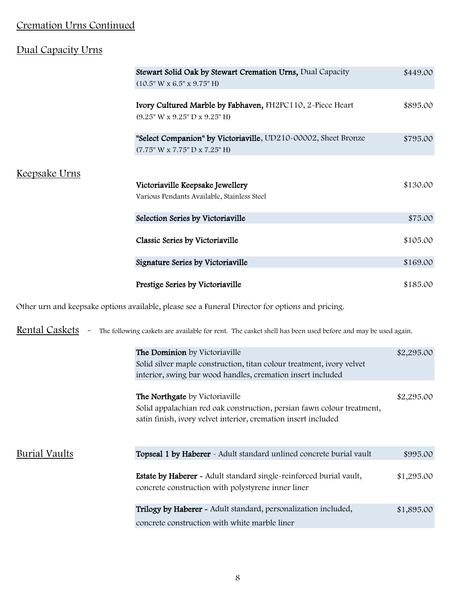### Cremation Urns Continued

### Dual Capacity Urns

|                      | Stewart Solid Oak by Stewart Cremation Urns, Dual Capacity     | \$449.00 |
|----------------------|----------------------------------------------------------------|----------|
|                      | (10.5" W x 6.5" x 9.75" H)                                     |          |
|                      |                                                                |          |
|                      | Ivory Cultured Marble by Fabhaven, FH2PC110, 2-Piece Heart     | \$895.00 |
|                      | (9.25" W x 9.25" D x 9.25" H)                                  |          |
|                      | "Select Companion" by Victoriaville, UD210-00002, Sheet Bronze | \$795.00 |
|                      | (7.75" W x 7.75" D x 7.25" H)                                  |          |
|                      |                                                                |          |
| <u>Keepsake Urns</u> |                                                                |          |
|                      | Victoriaville Keepsake Jewellery                               | \$130.00 |
|                      | Various Pendants Available, Stainless Steel                    |          |
|                      |                                                                |          |
|                      | Selection Series by Victoriaville                              | \$75.00  |
|                      |                                                                |          |
|                      | Classic Series by Victoriaville                                | \$105.00 |
|                      |                                                                |          |
|                      | Signature Series by Victoriaville                              | \$169.00 |
|                      |                                                                |          |
|                      | Prestige Series by Victoriaville                               | \$185.00 |

Other urn and keepsake options available, please see a Funeral Director for options and pricing.

Rental Caskets - The following caskets are available for rent. The casket shell has been used before and may be used again.

|               | The Dominion by Victoriaville<br>Solid silver maple construction, titan colour treatment, ivory velvet<br>interior, swing bar wood handles, cremation insert included      | \$2,295.00 |
|---------------|----------------------------------------------------------------------------------------------------------------------------------------------------------------------------|------------|
|               | The Northgate by Victoriaville<br>Solid appalachian red oak construction, persian fawn colour treatment,<br>satin finish, ivory velvet interior, cremation insert included | \$2,295.00 |
| Burial Vaults | Topseal 1 by Haberer - Adult standard unlined concrete burial vault                                                                                                        | \$995.00   |
|               | <b>Estate by Haberer</b> - Adult standard single-reinforced burial vault,<br>concrete construction with polystyrene inner liner                                            | \$1,295.00 |
|               | Trilogy by Haberer - Adult standard, personalization included,<br>concrete construction with white marble liner                                                            | \$1,895.00 |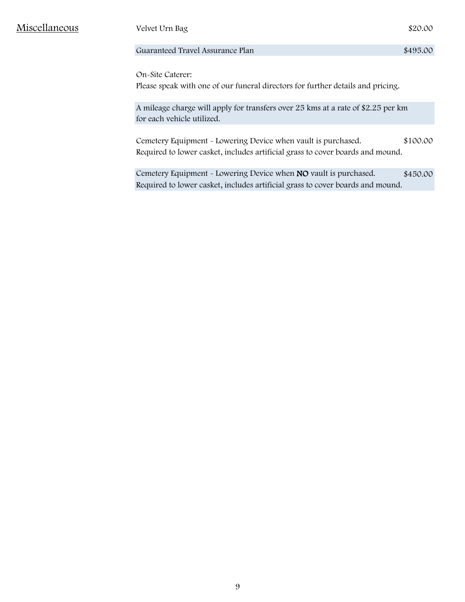Miscellaneous Velvet Urn Bag \$20.00

#### Guaranteed Travel Assurance Plan  $$495.00$

On-Site Caterer: Please speak with one of our funeral directors for further details and pricing.

A mileage charge will apply for transfers over 25 kms at a rate of \$2.25 per km for each vehicle utilized.

Cemetery Equipment - Lowering Device when vault is purchased. \$100.00 Required to lower casket, includes artificial grass to cover boards and mound.

Cemetery Equipment - Lowering Device when NO vault is purchased. \$450.00 Required to lower casket, includes artificial grass to cover boards and mound.